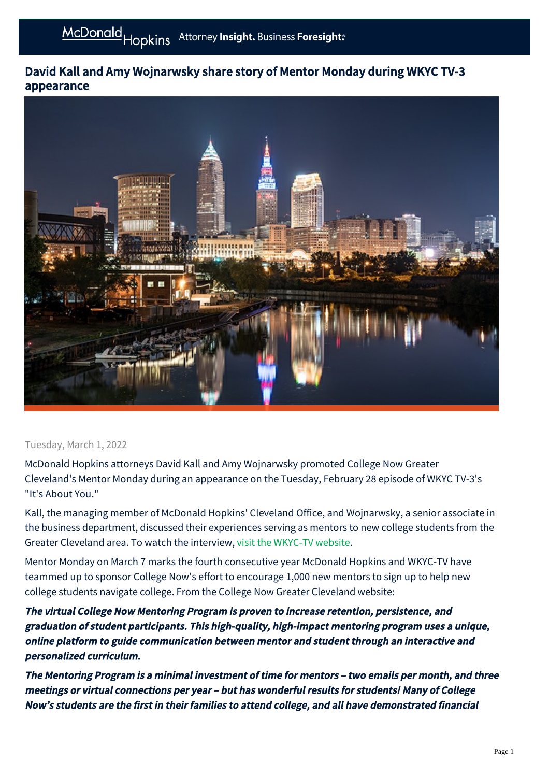## David Kall and Amy Wojnarwsky share story of Mentor Monday during WKYC TV-3 appearance



## Tuesday, March 1, 2022

McDonald Hopkins attorneys David Kall and Amy Wojnarwsky promoted College Now Greater Cleveland's Mentor Monday during an appearance on the Tuesday, February 28 episode of WKYC TV-3's "It's About You."

Kall, the managing member of McDonald Hopkins' Cleveland Office, and Wojnarwsky, a senior associate in the business department, discussed their experiences serving as mentors to new college students from the Greater Cleveland area. To watch the interview, [visit the WKYC-TV website](https://linkprotect.cudasvc.com/url?a=https%3A%2F%2Fwww.wkyc.com%2Fvideo%2Fentertainment%2Ftelevision%2Fits-about-you%2Fdavid-kall-amy-wojnarwksy-mentor-monday%2F95-ec0e0366-8a93-4195-ab4b-d8d22e3e1e7e&c=E,1,_9mqXwfhpQFt55EiSwhuVpzjw30QBonQefSkKu64dd4FR1DWAZ-bb80LXn5rGkELnuA2Ls8S8RL9oA1dRCiovvT9xc1ikqjnaF6u4hmkB-k,&typo=1).

Mentor Monday on March 7 marks the fourth consecutive year McDonald Hopkins and WKYC-TV have teammed up to sponsor College Now's effort to encourage 1,000 new mentors to sign up to help new college students navigate college. From the College Now Greater Cleveland website:

The virtual College Now Mentoring Program is proven to increase retention, persistence, and graduation of student participants. This high-quality, high-impact mentoring program uses a unique, online platform to guide communication between mentor and student through an interactive and personalized curriculum.

The Mentoring Program is a minimal investment of time for mentors – two emails per month, and three meetings or virtual connections per year – but has wonderful results for students! Many of College Now's students are the first in their families to attend college, and all have demonstrated financial